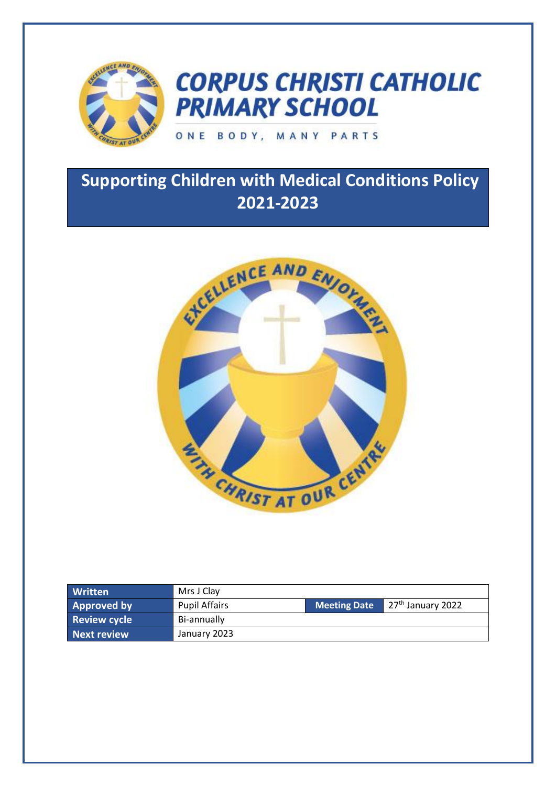

# **CORPUS CHRISTI CATHOLIC PRIMARY SCHOOL**

# ONE BODY, MANY PARTS

# **Supporting Children with Medical Conditions Policy 2021-2023**



| <b>Written</b>      | Mrs J Clay           |                     |                     |
|---------------------|----------------------|---------------------|---------------------|
| <b>Approved by</b>  | <b>Pupil Affairs</b> | <b>Meeting Date</b> | $27th$ January 2022 |
| <b>Review cycle</b> | Bi-annually          |                     |                     |
| Next review         | January 2023         |                     |                     |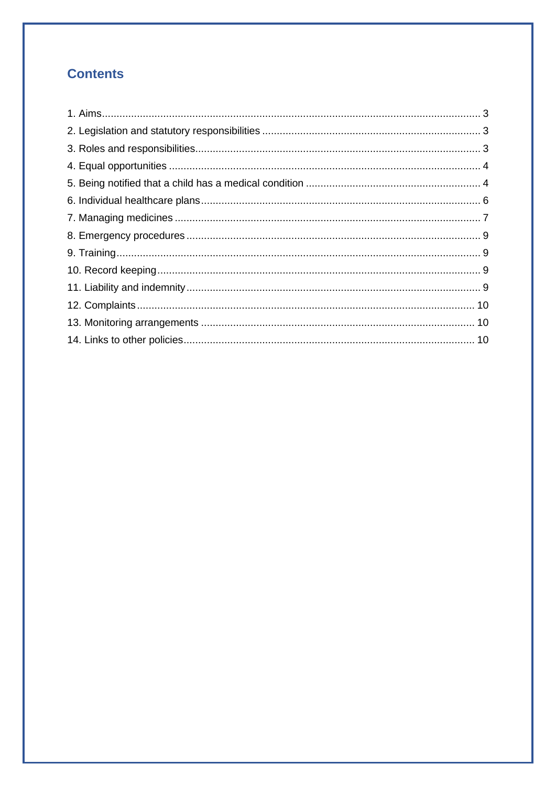# **Contents**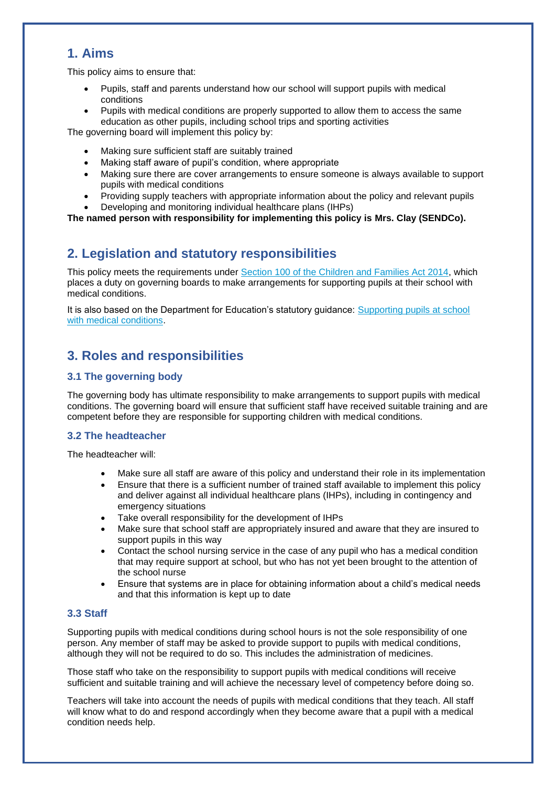## **1. Aims**

This policy aims to ensure that:

- Pupils, staff and parents understand how our school will support pupils with medical conditions
- Pupils with medical conditions are properly supported to allow them to access the same education as other pupils, including school trips and sporting activities

The governing board will implement this policy by:

- Making sure sufficient staff are suitably trained
- Making staff aware of pupil's condition, where appropriate
- Making sure there are cover arrangements to ensure someone is always available to support pupils with medical conditions
- Providing supply teachers with appropriate information about the policy and relevant pupils
- Developing and monitoring individual healthcare plans (IHPs)

**The named person with responsibility for implementing this policy is Mrs. Clay (SENDCo).**

### **2. Legislation and statutory responsibilities**

This policy meets the requirements under [Section 100 of the Children and Families Act 2014,](http://www.legislation.gov.uk/ukpga/2014/6/part/5/crossheading/pupils-with-medical-conditions) which places a duty on governing boards to make arrangements for supporting pupils at their school with medical conditions.

It is also based on the Department for Education's statutory guidance: [Supporting pupils at school](https://www.gov.uk/government/uploads/system/uploads/attachment_data/file/484418/supporting-pupils-at-school-with-medical-conditions.pdf)  [with medical conditions.](https://www.gov.uk/government/uploads/system/uploads/attachment_data/file/484418/supporting-pupils-at-school-with-medical-conditions.pdf)

### **3. Roles and responsibilities**

#### **3.1 The governing body**

The governing body has ultimate responsibility to make arrangements to support pupils with medical conditions. The governing board will ensure that sufficient staff have received suitable training and are competent before they are responsible for supporting children with medical conditions.

#### **3.2 The headteacher**

The headteacher will:

- Make sure all staff are aware of this policy and understand their role in its implementation
- Ensure that there is a sufficient number of trained staff available to implement this policy and deliver against all individual healthcare plans (IHPs), including in contingency and emergency situations
- Take overall responsibility for the development of IHPs
- Make sure that school staff are appropriately insured and aware that they are insured to support pupils in this way
- Contact the school nursing service in the case of any pupil who has a medical condition that may require support at school, but who has not yet been brought to the attention of the school nurse
- Ensure that systems are in place for obtaining information about a child's medical needs and that this information is kept up to date

#### **3.3 Staff**

Supporting pupils with medical conditions during school hours is not the sole responsibility of one person. Any member of staff may be asked to provide support to pupils with medical conditions, although they will not be required to do so. This includes the administration of medicines.

Those staff who take on the responsibility to support pupils with medical conditions will receive sufficient and suitable training and will achieve the necessary level of competency before doing so.

Teachers will take into account the needs of pupils with medical conditions that they teach. All staff will know what to do and respond accordingly when they become aware that a pupil with a medical condition needs help.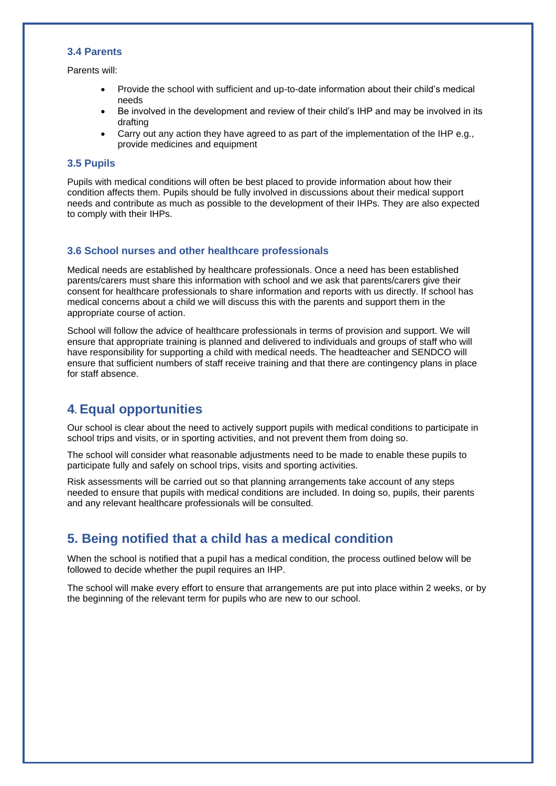#### **3.4 Parents**

Parents will:

- Provide the school with sufficient and up-to-date information about their child's medical needs
- Be involved in the development and review of their child's IHP and may be involved in its drafting
- Carry out any action they have agreed to as part of the implementation of the IHP e.g., provide medicines and equipment

#### **3.5 Pupils**

Pupils with medical conditions will often be best placed to provide information about how their condition affects them. Pupils should be fully involved in discussions about their medical support needs and contribute as much as possible to the development of their IHPs. They are also expected to comply with their IHPs.

#### **3.6 School nurses and other healthcare professionals**

Medical needs are established by healthcare professionals. Once a need has been established parents/carers must share this information with school and we ask that parents/carers give their consent for healthcare professionals to share information and reports with us directly. If school has medical concerns about a child we will discuss this with the parents and support them in the appropriate course of action.

School will follow the advice of healthcare professionals in terms of provision and support. We will ensure that appropriate training is planned and delivered to individuals and groups of staff who will have responsibility for supporting a child with medical needs. The headteacher and SENDCO will ensure that sufficient numbers of staff receive training and that there are contingency plans in place for staff absence.

### **4. Equal opportunities**

Our school is clear about the need to actively support pupils with medical conditions to participate in school trips and visits, or in sporting activities, and not prevent them from doing so.

The school will consider what reasonable adjustments need to be made to enable these pupils to participate fully and safely on school trips, visits and sporting activities.

Risk assessments will be carried out so that planning arrangements take account of any steps needed to ensure that pupils with medical conditions are included. In doing so, pupils, their parents and any relevant healthcare professionals will be consulted.

### **5. Being notified that a child has a medical condition**

When the school is notified that a pupil has a medical condition, the process outlined below will be followed to decide whether the pupil requires an IHP.

The school will make every effort to ensure that arrangements are put into place within 2 weeks, or by the beginning of the relevant term for pupils who are new to our school.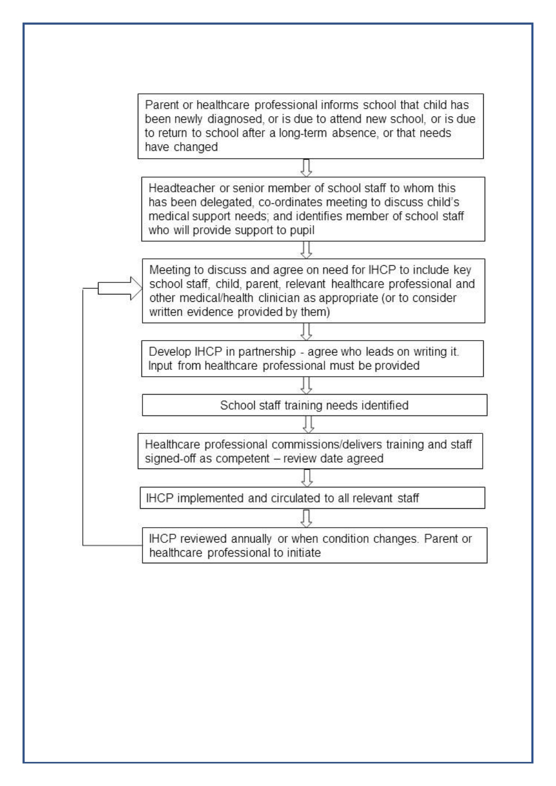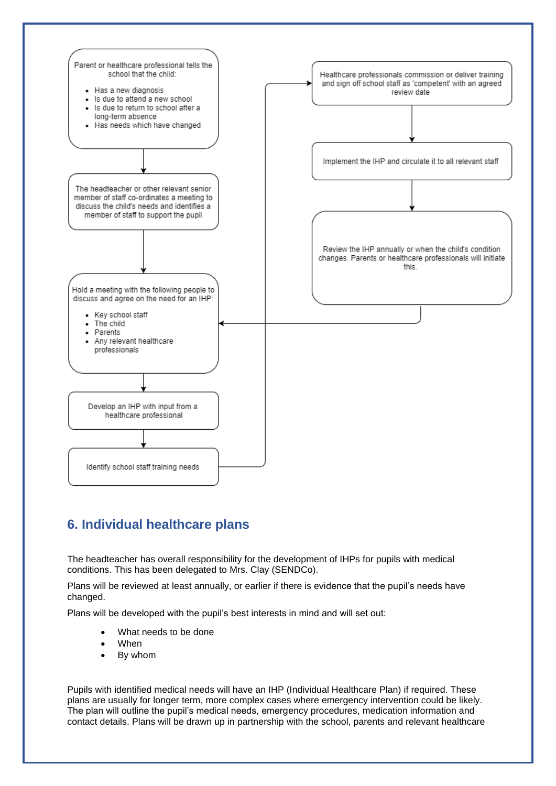

# **6. Individual healthcare plans**

The headteacher has overall responsibility for the development of IHPs for pupils with medical conditions. This has been delegated to Mrs. Clay (SENDCo).

Plans will be reviewed at least annually, or earlier if there is evidence that the pupil's needs have changed.

Plans will be developed with the pupil's best interests in mind and will set out:

- What needs to be done
- When
- By whom

Pupils with identified medical needs will have an IHP (Individual Healthcare Plan) if required. These plans are usually for longer term, more complex cases where emergency intervention could be likely. The plan will outline the pupil's medical needs, emergency procedures, medication information and contact details. Plans will be drawn up in partnership with the school, parents and relevant healthcare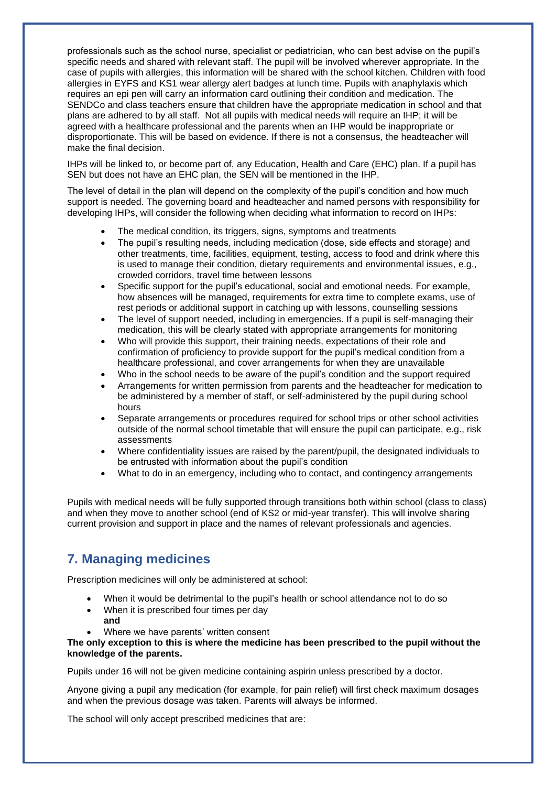professionals such as the school nurse, specialist or pediatrician, who can best advise on the pupil's specific needs and shared with relevant staff. The pupil will be involved wherever appropriate. In the case of pupils with allergies, this information will be shared with the school kitchen. Children with food allergies in EYFS and KS1 wear allergy alert badges at lunch time. Pupils with anaphylaxis which requires an epi pen will carry an information card outlining their condition and medication. The SENDCo and class teachers ensure that children have the appropriate medication in school and that plans are adhered to by all staff. Not all pupils with medical needs will require an IHP; it will be agreed with a healthcare professional and the parents when an IHP would be inappropriate or disproportionate. This will be based on evidence. If there is not a consensus, the headteacher will make the final decision.

IHPs will be linked to, or become part of, any Education, Health and Care (EHC) plan. If a pupil has SEN but does not have an EHC plan, the SEN will be mentioned in the IHP.

The level of detail in the plan will depend on the complexity of the pupil's condition and how much support is needed. The governing board and headteacher and named persons with responsibility for developing IHPs, will consider the following when deciding what information to record on IHPs:

- The medical condition, its triggers, signs, symptoms and treatments
- The pupil's resulting needs, including medication (dose, side effects and storage) and other treatments, time, facilities, equipment, testing, access to food and drink where this is used to manage their condition, dietary requirements and environmental issues, e.g., crowded corridors, travel time between lessons
- Specific support for the pupil's educational, social and emotional needs. For example, how absences will be managed, requirements for extra time to complete exams, use of rest periods or additional support in catching up with lessons, counselling sessions
- The level of support needed, including in emergencies. If a pupil is self-managing their medication, this will be clearly stated with appropriate arrangements for monitoring
- Who will provide this support, their training needs, expectations of their role and confirmation of proficiency to provide support for the pupil's medical condition from a healthcare professional, and cover arrangements for when they are unavailable
- Who in the school needs to be aware of the pupil's condition and the support required
- Arrangements for written permission from parents and the headteacher for medication to be administered by a member of staff, or self-administered by the pupil during school hours
- Separate arrangements or procedures required for school trips or other school activities outside of the normal school timetable that will ensure the pupil can participate, e.g., risk assessments
- Where confidentiality issues are raised by the parent/pupil, the designated individuals to be entrusted with information about the pupil's condition
- What to do in an emergency, including who to contact, and contingency arrangements

Pupils with medical needs will be fully supported through transitions both within school (class to class) and when they move to another school (end of KS2 or mid-year transfer). This will involve sharing current provision and support in place and the names of relevant professionals and agencies.

# **7. Managing medicines**

Prescription medicines will only be administered at school:

- When it would be detrimental to the pupil's health or school attendance not to do so
- When it is prescribed four times per day **and**
- Where we have parents' written consent

#### **The only exception to this is where the medicine has been prescribed to the pupil without the knowledge of the parents.**

Pupils under 16 will not be given medicine containing aspirin unless prescribed by a doctor.

Anyone giving a pupil any medication (for example, for pain relief) will first check maximum dosages and when the previous dosage was taken. Parents will always be informed.

The school will only accept prescribed medicines that are: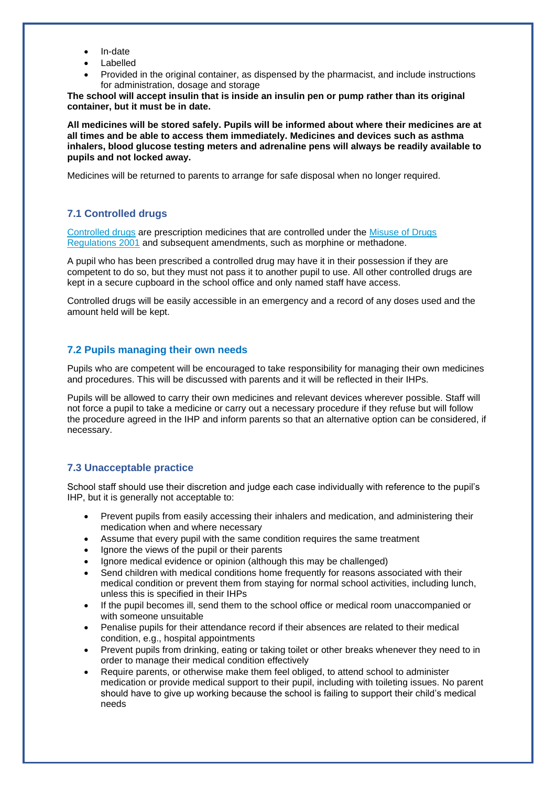- In-date
- Labelled
- Provided in the original container, as dispensed by the pharmacist, and include instructions for administration, dosage and storage

**The school will accept insulin that is inside an insulin pen or pump rather than its original container, but it must be in date.** 

**All medicines will be stored safely. Pupils will be informed about where their medicines are at all times and be able to access them immediately. Medicines and devices such as asthma inhalers, blood glucose testing meters and adrenaline pens will always be readily available to pupils and not locked away.** 

Medicines will be returned to parents to arrange for safe disposal when no longer required.

#### **7.1 Controlled drugs**

[Controlled drugs](http://www.nhs.uk/chq/Pages/1391.aspx?CategoryID=73) are prescription medicines that are controlled under the [Misuse of Drugs](http://www.legislation.gov.uk/uksi/2001/3998/schedule/1/made)  [Regulations 2001](http://www.legislation.gov.uk/uksi/2001/3998/schedule/1/made) and subsequent amendments, such as morphine or methadone.

A pupil who has been prescribed a controlled drug may have it in their possession if they are competent to do so, but they must not pass it to another pupil to use. All other controlled drugs are kept in a secure cupboard in the school office and only named staff have access.

Controlled drugs will be easily accessible in an emergency and a record of any doses used and the amount held will be kept.

#### **7.2 Pupils managing their own needs**

Pupils who are competent will be encouraged to take responsibility for managing their own medicines and procedures. This will be discussed with parents and it will be reflected in their IHPs.

Pupils will be allowed to carry their own medicines and relevant devices wherever possible. Staff will not force a pupil to take a medicine or carry out a necessary procedure if they refuse but will follow the procedure agreed in the IHP and inform parents so that an alternative option can be considered, if necessary.

#### **7.3 Unacceptable practice**

School staff should use their discretion and judge each case individually with reference to the pupil's IHP, but it is generally not acceptable to:

- Prevent pupils from easily accessing their inhalers and medication, and administering their medication when and where necessary
- Assume that every pupil with the same condition requires the same treatment
- lanore the views of the pupil or their parents
- Ignore medical evidence or opinion (although this may be challenged)
- Send children with medical conditions home frequently for reasons associated with their medical condition or prevent them from staying for normal school activities, including lunch, unless this is specified in their IHPs
- If the pupil becomes ill, send them to the school office or medical room unaccompanied or with someone unsuitable
- Penalise pupils for their attendance record if their absences are related to their medical condition, e.g., hospital appointments
- Prevent pupils from drinking, eating or taking toilet or other breaks whenever they need to in order to manage their medical condition effectively
- Require parents, or otherwise make them feel obliged, to attend school to administer medication or provide medical support to their pupil, including with toileting issues. No parent should have to give up working because the school is failing to support their child's medical needs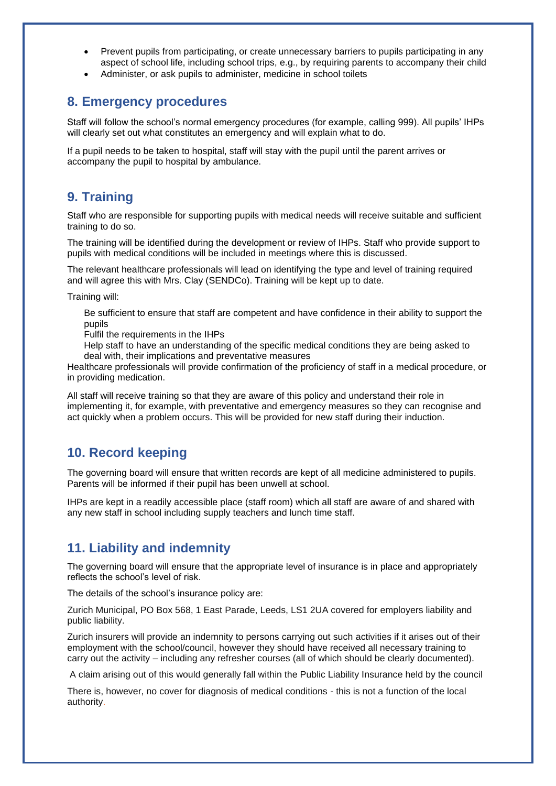- Prevent pupils from participating, or create unnecessary barriers to pupils participating in any aspect of school life, including school trips, e.g., by requiring parents to accompany their child
- Administer, or ask pupils to administer, medicine in school toilets

### **8. Emergency procedures**

Staff will follow the school's normal emergency procedures (for example, calling 999). All pupils' IHPs will clearly set out what constitutes an emergency and will explain what to do.

If a pupil needs to be taken to hospital, staff will stay with the pupil until the parent arrives or accompany the pupil to hospital by ambulance.

### **9. Training**

Staff who are responsible for supporting pupils with medical needs will receive suitable and sufficient training to do so.

The training will be identified during the development or review of IHPs. Staff who provide support to pupils with medical conditions will be included in meetings where this is discussed.

The relevant healthcare professionals will lead on identifying the type and level of training required and will agree this with Mrs. Clay (SENDCo). Training will be kept up to date.

Training will:

Be sufficient to ensure that staff are competent and have confidence in their ability to support the pupils

Fulfil the requirements in the IHPs

Help staff to have an understanding of the specific medical conditions they are being asked to deal with, their implications and preventative measures

Healthcare professionals will provide confirmation of the proficiency of staff in a medical procedure, or in providing medication.

All staff will receive training so that they are aware of this policy and understand their role in implementing it, for example, with preventative and emergency measures so they can recognise and act quickly when a problem occurs. This will be provided for new staff during their induction.

### **10. Record keeping**

The governing board will ensure that written records are kept of all medicine administered to pupils. Parents will be informed if their pupil has been unwell at school.

IHPs are kept in a readily accessible place (staff room) which all staff are aware of and shared with any new staff in school including supply teachers and lunch time staff.

### **11. Liability and indemnity**

The governing board will ensure that the appropriate level of insurance is in place and appropriately reflects the school's level of risk.

The details of the school's insurance policy are:

Zurich Municipal, PO Box 568, 1 East Parade, Leeds, LS1 2UA covered for employers liability and public liability.

Zurich insurers will provide an indemnity to persons carrying out such activities if it arises out of their employment with the school/council, however they should have received all necessary training to carry out the activity – including any refresher courses (all of which should be clearly documented).

A claim arising out of this would generally fall within the Public Liability Insurance held by the council

There is, however, no cover for diagnosis of medical conditions - this is not a function of the local authority.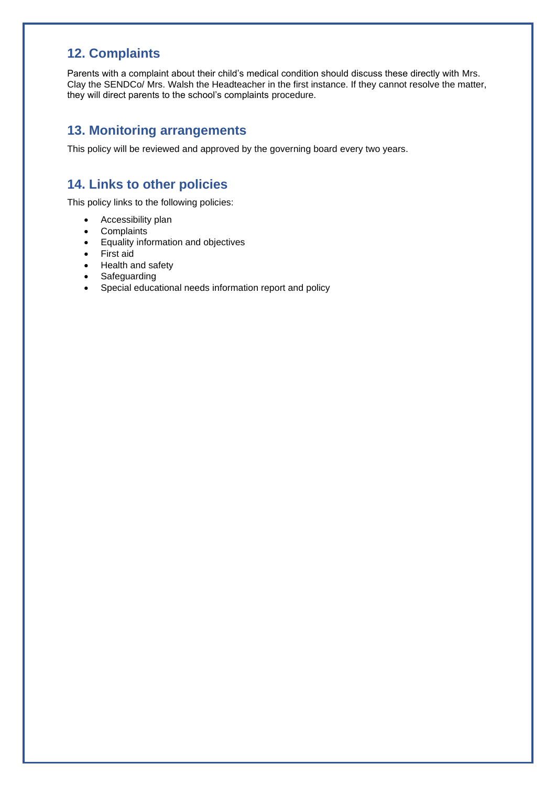# **12. Complaints**

Parents with a complaint about their child's medical condition should discuss these directly with Mrs. Clay the SENDCo/ Mrs. Walsh the Headteacher in the first instance. If they cannot resolve the matter, they will direct parents to the school's complaints procedure.

### **13. Monitoring arrangements**

This policy will be reviewed and approved by the governing board every two years.

# **14. Links to other policies**

This policy links to the following policies:

- Accessibility plan
- Complaints
- Equality information and objectives
- First aid
- Health and safety
- Safeguarding
- Special educational needs information report and policy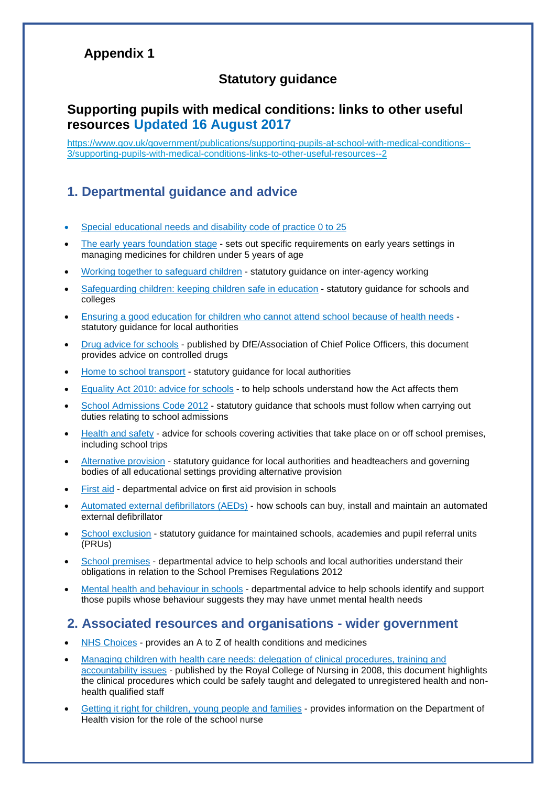# **Appendix 1**

# **Statutory guidance**

# **Supporting pupils with medical conditions: links to other useful resources Updated 16 August 2017**

[https://www.gov.uk/government/publications/supporting-pupils-at-school-with-medical-conditions--](https://www.gov.uk/government/publications/supporting-pupils-at-school-with-medical-conditions--3/supporting-pupils-with-medical-conditions-links-to-other-useful-resources--2) [3/supporting-pupils-with-medical-conditions-links-to-other-useful-resources--2](https://www.gov.uk/government/publications/supporting-pupils-at-school-with-medical-conditions--3/supporting-pupils-with-medical-conditions-links-to-other-useful-resources--2)

## **1. Departmental guidance and advice**

- Special [educational](https://www.gov.uk/government/publications/send-code-of-practice-0-to-25) needs and disability code of practice 0 to 25
- The early years [foundation](https://www.gov.uk/government/publications/early-years-foundation-stage-framework--2) stage sets out specific requirements on early years settings in managing medicines for children under 5 years of age
- Working together to [safeguard](https://www.gov.uk/government/publications/working-together-to-safeguard-children) children statutory guidance on inter-agency working
- [Safeguarding](https://www.gov.uk/government/publications/keeping-children-safe-in-education) children: keeping children safe in education statutory guidance for schools and colleges
- Ensuring a good [education](https://www.gov.uk/government/publications/education-for-children-with-health-needs-who-cannot-attend-school) for children who cannot attend school because of health needs statutory guidance for local authorities
- Drug advice for [schools](https://www.gov.uk/government/publications/drugs-advice-for-schools) published by DfE/Association of Chief Police Officers, this document provides advice on controlled drugs
- Home to school [transport](https://www.gov.uk/government/publications/home-to-school-travel-and-transport) statutory guidance for local authorities
- [Equality](https://www.gov.uk/government/publications/equality-act-2010-advice-for-schools) Act 2010: advice for schools to help schools understand how the Act affects them
- School [Admissions](https://www.gov.uk/government/publications/school-admissions-code) Code 2012 statutory guidance that schools must follow when carrying out duties relating to school admissions
- [Health](https://www.gov.uk/government/publications/health-and-safety-advice-for-schools) and safety advice for schools covering activities that take place on or off school premises, including school trips
- [Alternative](https://www.gov.uk/government/publications/alternative-provision) provision statutory guidance for local authorities and headteachers and governing bodies of all educational settings providing alternative provision
- [First](https://www.gov.uk/government/publications/first-aid-in-schools) aid departmental advice on first aid provision in schools
- Automated external [defibrillators](https://www.gov.uk/government/publications/automated-external-defibrillators-aeds-in-schools) (AEDs) how schools can buy, install and maintain an automated external defibrillator
- School [exclusion](https://www.gov.uk/government/publications/school-exclusion) statutory guidance for maintained schools, academies and pupil referral units (PRUs)
- School [premises](https://www.gov.uk/government/publications/standards-for-school-premises) departmental advice to help schools and local authorities understand their obligations in relation to the School Premises Regulations 2012
- Mental health and [behaviour](https://www.gov.uk/government/publications/mental-health-and-behaviour-in-schools--2) in schools departmental advice to help schools identify and support those pupils whose behaviour suggests they may have unmet mental health needs

### **2. Associated resources and organisations - wider government**

- NHS [Choices](http://www.nhs.uk/Pages/HomePage.aspx) provides an A to Z of health conditions and medicines
- Managing children with health care needs: delegation of clinical [procedures,](http://bureau-query.funnelback.co.uk/search/search.cgi?query=Managing+children+with+health+care+needs+delegation+of+clinical+procedures+&collection=rcn-meta§ion=) training and [accountability](http://bureau-query.funnelback.co.uk/search/search.cgi?query=Managing+children+with+health+care+needs+delegation+of+clinical+procedures+&collection=rcn-meta§ion=) issues - published by the Royal College of Nursing in 2008, this document highlights the clinical procedures which could be safely taught and delegated to unregistered health and nonhealth qualified staff
- Getting it right for [children,](https://www.gov.uk/government/publications/getting-it-right-for-children-young-people-and-families) young people and families provides information on the Department of Health vision for the role of the school nurse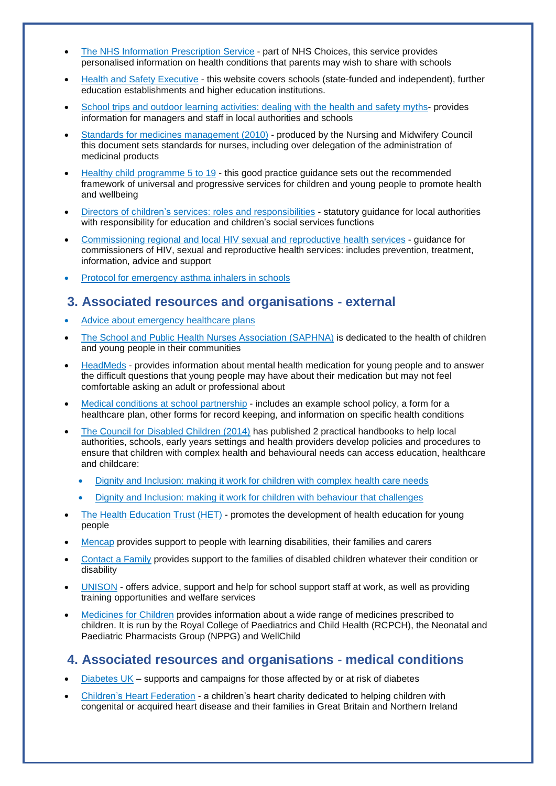- The NHS Information Prescription Service part of NHS Choices, this service provides [personalised information on health conditio](http://www.nhs.uk/ipg/Pages/AboutThisService.aspx)ns that parents may wish to share with schools
- Health and Safety [Executive](http://www.hse.gov.uk/services/education/) this website covers schools (state-funded and independent), further education establishments and higher education institutions.
- School trips and outdoor learning [activities:](http://www.hse.gov.uk/services/education/school-trips.htm) dealing with the health and safety myths- provides information for managers and staff in local authorities and schools
- Standards for medicines [management](http://www.nmc-uk.org/Publications/Standards/) (2010) produced by the Nursing and Midwifery Council this document sets standards for nurses, including over delegation of the administration of medicinal products
- Healthy child [programme](https://www.gov.uk/government/publications/healthy-child-programme-pregnancy-and-the-first-5-years-of-life) 5 to 19 this good practice guidance sets out the recommended framework of universal and progressive services for children and young people to promote health and wellbeing
- Directors of children's services: roles and [responsibilities](https://www.gov.uk/government/publications/directors-of-childrens-services-roles-and-responsibilities) statutory guidance for local authorities with responsibility for education and children's social services functions
- [Commissioning](https://www.gov.uk/commissioning-regional-and-local-sexual-health-services) regional and local HIV sexual and reproductive health services guidance for commissioners of HIV, sexual and reproductive health services: includes prevention, treatment, information, advice and support
- Protocol for [emergency](https://www.gov.uk/government/publications/emergency-asthma-inhalers-for-use-in-schools) asthma inhalers in schools

### **3. Associated resources and organisations - external**

- Advice about [emergency](http://www.bacdis.org.uk/training/training_resources.htm) healthcare plans
- The School and Public Health Nurses [Association](http://www.jfhc.co.uk/saphna/home.aspx) (SAPHNA) is dedicated to the health of children and young people in their communities
- [HeadMeds](http://www.headmeds.org.uk/) provides information about mental health medication for young people and to answer the difficult questions that young people may have about their medication but may not feel comfortable asking an adult or professional about
- Medical conditions at school [partnership](http://medicalconditionsatschool.org.uk/) includes an example school policy, a form for a healthcare plan, other forms for record keeping, and information on specific health conditions
- The Council for [Disabled](http://www.councilfordisabledchildren.org.uk/) Children (2014) has published 2 practical handbooks to help local authorities, schools, early years settings and health providers develop policies and procedures to ensure that children with complex health and behavioural needs can access education, healthcare and childcare:
	- Dignity and [Inclusion:](http://shop.ncb.org.uk/product_p/3100-001b10274p.htm) making it work for children with complex health care needs
	- Dignity and Inclusion: making it work for children with behaviour that [challenges](http://shop.ncb.org.uk/ProductDetails.asp?ProductCode=3100-001b20274P)
- The Health [Education](http://www.healthedtrust.com/) Trust (HET) promotes the development of health education for young people
- [Mencap](http://www.mencap.org.uk/) provides support to people with learning disabilities, their families and carers
- [Contact](http://www.cafamily.org.uk/) a Family provides support to the families of disabled children whatever their condition or disability
- [UNISON](http://www.unison.org.uk/at-work/education-services/) offers advice, support and help for school support staff at work, as well as providing training opportunities and welfare services
- [Medicines](http://www.medicinesforchildren.org.uk/) for Children provides information about a wide range of medicines prescribed to children. It is run by the Royal College of Paediatrics and Child Health (RCPCH), the Neonatal and Paediatric Pharmacists Group (NPPG) and WellChild

### **4. Associated resources and organisations - medical conditions**

- [Diabetes](http://www.diabetes.org.uk/schools) UK supports and campaigns for those affected by or at risk of diabetes
- Children's Heart [Federation](http://www.chfed.org.uk/) a children's heart charity dedicated to helping children with congenital or acquired heart disease and their families in Great Britain and Northern Ireland